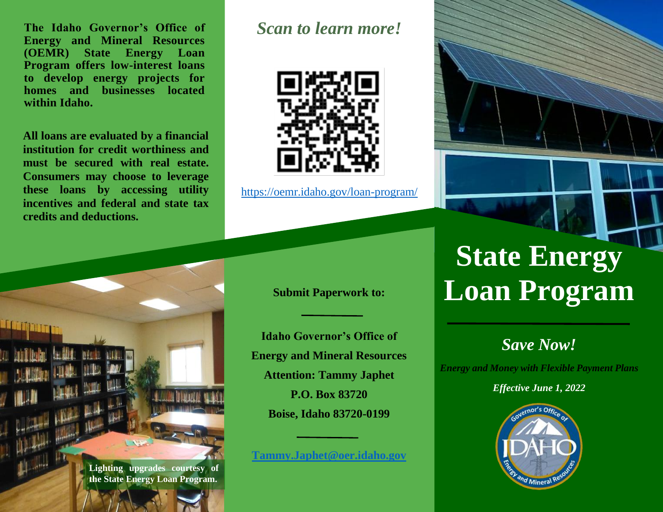**The Idaho Governor's Office of Energy and Mineral Resources (OEMR) State Energy Loan Program offers low-interest loans to develop energy projects for homes and businesses located within Idaho.** 

**All loans are evaluated by a financial institution for credit worthiness and must be secured with real estate. Consumers may choose to leverage these loans by accessing utility incentives and federal and state tax credits and deductions.**

# *Scan to learn more!*



<https://oemr.idaho.gov/loan-program/>

## **Submit Paperwork to:**

**Idaho Governor's Office of Energy and Mineral Resources Attention: Tammy Japhet P.O. Box 83720 Boise, Idaho 83720-0199**

## **[Tammy.Japhet@oer.idaho.gov](mailto:Tammy.Japhet@oer.idaho.gov)**

# **State Energy Loan Program**

# *Save Now!*

*Energy and Money with Flexible Payment Plans*

*Effective June 1, 2022*



**Lighting upgrades courtesy of the State Energy Loan Program.**